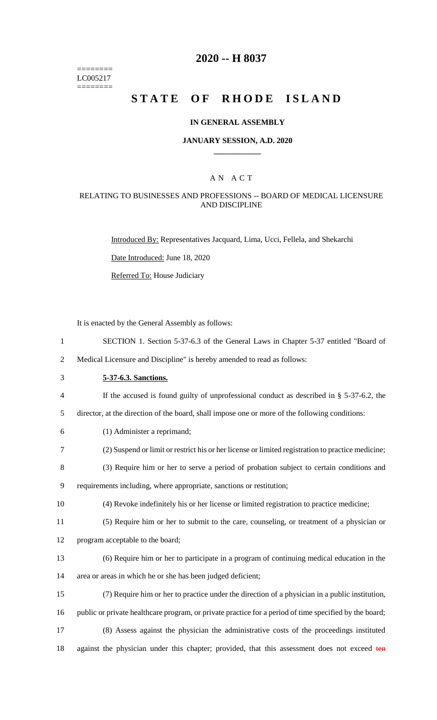======== LC005217 ========

# **2020 -- H 8037**

# **STATE OF RHODE ISLAND**

#### **IN GENERAL ASSEMBLY**

#### **JANUARY SESSION, A.D. 2020 \_\_\_\_\_\_\_\_\_\_\_\_**

## A N A C T

#### RELATING TO BUSINESSES AND PROFESSIONS -- BOARD OF MEDICAL LICENSURE AND DISCIPLINE

Introduced By: Representatives Jacquard, Lima, Ucci, Fellela, and Shekarchi

Date Introduced: June 18, 2020

Referred To: House Judiciary

It is enacted by the General Assembly as follows:

1 SECTION 1. Section 5-37-6.3 of the General Laws in Chapter 5-37 entitled "Board of

2 Medical Licensure and Discipline" is hereby amended to read as follows:

3 **5-37-6.3. Sanctions.**

4 If the accused is found guilty of unprofessional conduct as described in § 5-37-6.2, the

5 director, at the direction of the board, shall impose one or more of the following conditions:

- 6 (1) Administer a reprimand;
- 7 (2) Suspend or limit or restrict his or her license or limited registration to practice medicine;

8 (3) Require him or her to serve a period of probation subject to certain conditions and 9 requirements including, where appropriate, sanctions or restitution;

- 10 (4) Revoke indefinitely his or her license or limited registration to practice medicine;
- 11 (5) Require him or her to submit to the care, counseling, or treatment of a physician or
- 12 program acceptable to the board;
- 13 (6) Require him or her to participate in a program of continuing medical education in the 14 area or areas in which he or she has been judged deficient;
- 15 (7) Require him or her to practice under the direction of a physician in a public institution, 16 public or private healthcare program, or private practice for a period of time specified by the board; 17 (8) Assess against the physician the administrative costs of the proceedings instituted
- 18 against the physician under this chapter; provided, that this assessment does not exceed ten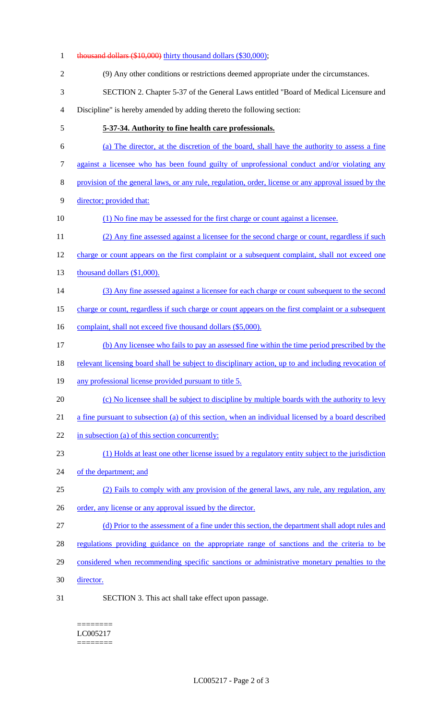| $\mathbf{1}$     | thousand dollars (\$10,000) thirty thousand dollars (\$30,000);                                      |
|------------------|------------------------------------------------------------------------------------------------------|
| $\overline{2}$   | (9) Any other conditions or restrictions deemed appropriate under the circumstances.                 |
| 3                | SECTION 2. Chapter 5-37 of the General Laws entitled "Board of Medical Licensure and                 |
| $\overline{4}$   | Discipline" is hereby amended by adding thereto the following section:                               |
| 5                | 5-37-34. Authority to fine health care professionals.                                                |
| 6                | (a) The director, at the discretion of the board, shall have the authority to assess a fine          |
| $\boldsymbol{7}$ | against a licensee who has been found guilty of unprofessional conduct and/or violating any          |
| $8\,$            | provision of the general laws, or any rule, regulation, order, license or any approval issued by the |
| 9                | director; provided that:                                                                             |
| 10               | (1) No fine may be assessed for the first charge or count against a licensee.                        |
| 11               | (2) Any fine assessed against a licensee for the second charge or count, regardless if such          |
| 12               | charge or count appears on the first complaint or a subsequent complaint, shall not exceed one       |
| 13               | thousand dollars (\$1,000).                                                                          |
| 14               | (3) Any fine assessed against a licensee for each charge or count subsequent to the second           |
| 15               | charge or count, regardless if such charge or count appears on the first complaint or a subsequent   |
| 16               | complaint, shall not exceed five thousand dollars (\$5,000).                                         |
| 17               | (b) Any licensee who fails to pay an assessed fine within the time period prescribed by the          |
| 18               | relevant licensing board shall be subject to disciplinary action, up to and including revocation of  |
| 19               | any professional license provided pursuant to title 5.                                               |
| 20               | (c) No licensee shall be subject to discipline by multiple boards with the authority to levy         |
| 21               | a fine pursuant to subsection (a) of this section, when an individual licensed by a board described  |
| 22               | in subsection (a) of this section concurrently:                                                      |
| 23               | (1) Holds at least one other license issued by a regulatory entity subject to the jurisdiction       |
| 24               | of the department; and                                                                               |
| 25               | (2) Fails to comply with any provision of the general laws, any rule, any regulation, any            |
| 26               | order, any license or any approval issued by the director.                                           |
| 27               | (d) Prior to the assessment of a fine under this section, the department shall adopt rules and       |
| 28               | regulations providing guidance on the appropriate range of sanctions and the criteria to be          |
| 29               | considered when recommending specific sanctions or administrative monetary penalties to the          |
| 30               | director.                                                                                            |
| 31               | SECTION 3. This act shall take effect upon passage.                                                  |

 $=$ LC005217 ========